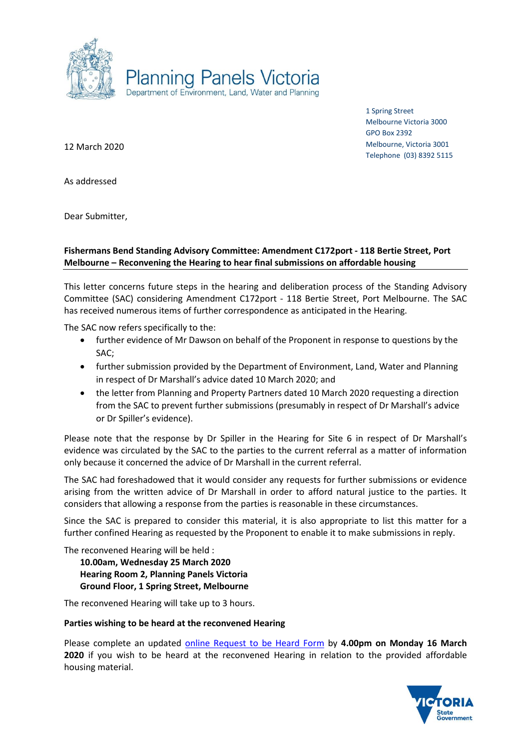

1 Spring Street Melbourne Victoria 3000 GPO Box 2392 Melbourne, Victoria 3001 Telephone (03) 8392 5115

12 March 2020

As addressed

Dear Submitter,

# **Fishermans Bend Standing Advisory Committee: Amendment C172port - 118 Bertie Street, Port Melbourne – Reconvening the Hearing to hear final submissions on affordable housing**

This letter concerns future steps in the hearing and deliberation process of the Standing Advisory Committee (SAC) considering Amendment C172port - 118 Bertie Street, Port Melbourne. The SAC has received numerous items of further correspondence as anticipated in the Hearing.

The SAC now refers specifically to the:

- further evidence of Mr Dawson on behalf of the Proponent in response to questions by the SAC;
- further submission provided by the Department of Environment, Land, Water and Planning in respect of Dr Marshall's advice dated 10 March 2020; and
- the letter from Planning and Property Partners dated 10 March 2020 requesting a direction from the SAC to prevent further submissions (presumably in respect of Dr Marshall's advice or Dr Spiller's evidence).

Please note that the response by Dr Spiller in the Hearing for Site 6 in respect of Dr Marshall's evidence was circulated by the SAC to the parties to the current referral as a matter of information only because it concerned the advice of Dr Marshall in the current referral.

The SAC had foreshadowed that it would consider any requests for further submissions or evidence arising from the written advice of Dr Marshall in order to afford natural justice to the parties. It considers that allowing a response from the parties is reasonable in these circumstances.

Since the SAC is prepared to consider this material, it is also appropriate to list this matter for a further confined Hearing as requested by the Proponent to enable it to make submissions in reply.

The reconvened Hearing will be held :

**10.00am, Wednesday 25 March 2020 Hearing Room 2, Planning Panels Victoria Ground Floor, 1 Spring Street, Melbourne**

The reconvened Hearing will take up to 3 hours.

### **Parties wishing to be heard at the reconvened Hearing**

Please complete an updated [online Request to be Heard Form](https://www.planning.vic.gov.au/panels-and-committees/request-to-be-heard-form) by **4.00pm on Monday 16 March 2020** if you wish to be heard at the reconvened Hearing in relation to the provided affordable housing material.

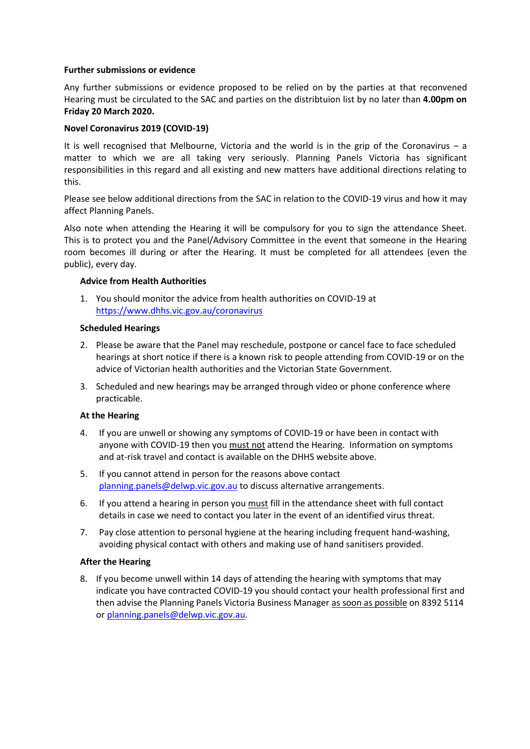### **Further submissions or evidence**

Any further submissions or evidence proposed to be relied on by the parties at that reconvened Hearing must be circulated to the SAC and parties on the distribtuion list by no later than **4.00pm on Friday 20 March 2020.**

## **Novel Coronavirus 2019 (COVID-19)**

It is well recognised that Melbourne, Victoria and the world is in the grip of the Coronavirus  $-$  a matter to which we are all taking very seriously. Planning Panels Victoria has significant responsibilities in this regard and all existing and new matters have additional directions relating to this.

Please see below additional directions from the SAC in relation to the COVID-19 virus and how it may affect Planning Panels.

Also note when attending the Hearing it will be compulsory for you to sign the attendance Sheet. This is to protect you and the Panel/Advisory Committee in the event that someone in the Hearing room becomes ill during or after the Hearing. It must be completed for all attendees (even the public), every day.

### **Advice from Health Authorities**

1. You should monitor the advice from health authorities on COVID-19 at <https://www.dhhs.vic.gov.au/coronavirus>

## **Scheduled Hearings**

- 2. Please be aware that the Panel may reschedule, postpone or cancel face to face scheduled hearings at short notice if there is a known risk to people attending from COVID-19 or on the advice of Victorian health authorities and the Victorian State Government.
- 3. Scheduled and new hearings may be arranged through video or phone conference where practicable.

### **At the Hearing**

- 4. If you are unwell or showing any symptoms of COVID-19 or have been in contact with anyone with COVID-19 then you must not attend the Hearing. Information on symptoms and at-risk travel and contact is available on the DHHS website above.
- 5. If you cannot attend in person for the reasons above contact [planning.panels@delwp.vic.gov.au](file:///C:/Users/nw00/Downloads/planning.panels@delwp.vic.gov.au) to discuss alternative arrangements.
- 6. If you attend a hearing in person you must fill in the attendance sheet with full contact details in case we need to contact you later in the event of an identified virus threat.
- 7. Pay close attention to personal hygiene at the hearing including frequent hand-washing, avoiding physical contact with others and making use of hand sanitisers provided.

### **After the Hearing**

8. If you become unwell within 14 days of attending the hearing with symptoms that may indicate you have contracted COVID-19 you should contact your health professional first and then advise the Planning Panels Victoria Business Manager as soon as possible on 8392 5114 or [planning.panels@delwp.vic.gov.au.](mailto:planning.panels@delwp.vic.gov.au)